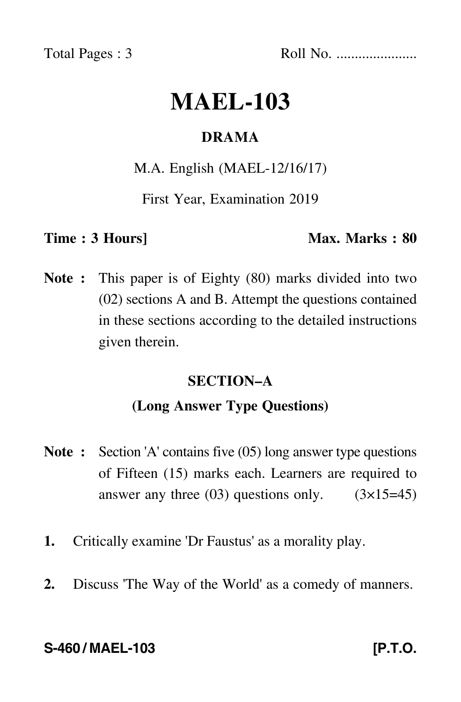Total Pages : 3 Roll No. ......................

# **MAEL-103**

# **DRAMA**

# M.A. English (MAEL-12/16/17)

First Year, Examination 2019

# **Time : 3 Hours]** Max. Marks : 80

**Note :** This paper is of Eighty (80) marks divided into two (02) sections A and B. Attempt the questions contained in these sections according to the detailed instructions given therein.

# **SECTION–A**

# **(Long Answer Type Questions)**

- **Note :** Section 'A' contains five (05) long answer type questions of Fifteen (15) marks each. Learners are required to answer any three  $(03)$  questions only.  $(3\times15=45)$
- **1.** Critically examine 'Dr Faustus' as a morality play.
- **2.** Discuss 'The Way of the World' as a comedy of manners.

### **S-460 / MAEL-103 [P.T.O.**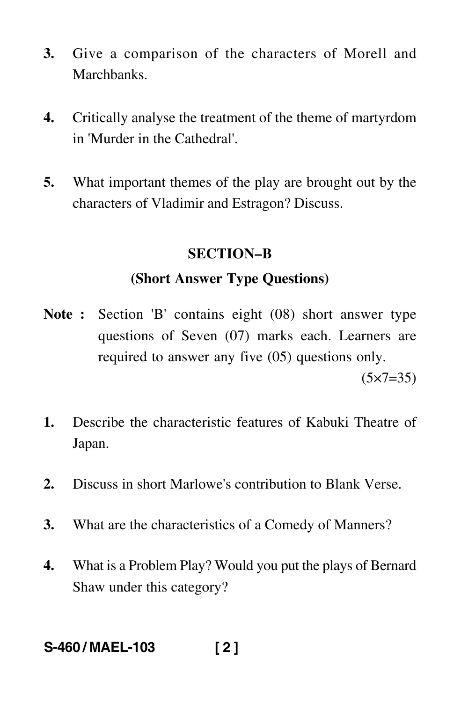- **3.** Give a comparison of the characters of Morell and Marchbanks.
- **4.** Critically analyse the treatment of the theme of martyrdom in 'Murder in the Cathedral'.
- **5.** What important themes of the play are brought out by the characters of Vladimir and Estragon? Discuss.

### **SECTION–B**

# **(Short Answer Type Questions)**

- **Note :** Section 'B' contains eight (08) short answer type questions of Seven (07) marks each. Learners are required to answer any five (05) questions only.  $(5 \times 7 = 35)$
- **1.** Describe the characteristic features of Kabuki Theatre of Japan.
- **2.** Discuss in short Marlowe's contribution to Blank Verse.
- **3.** What are the characteristics of a Comedy of Manners?
- **4.** What is a Problem Play? Would you put the plays of Bernard Shaw under this category?

# **S-460 / MAEL-103 [ 2 ]**